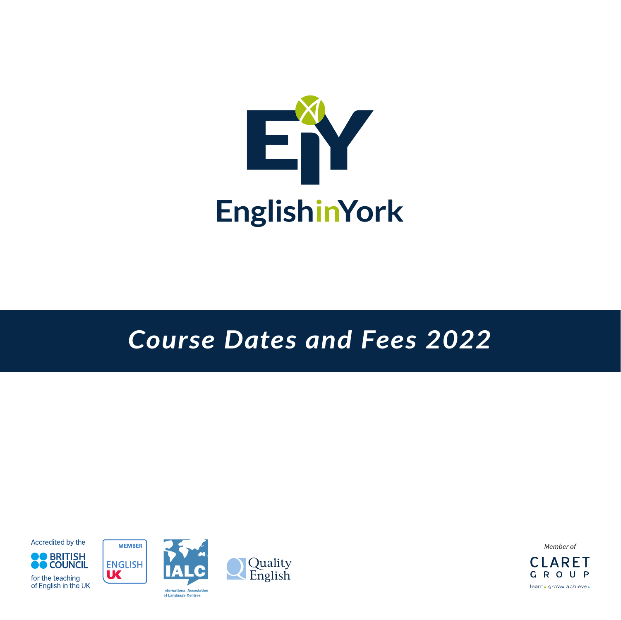

## *Course Dates and Fees 2022*

Accredited by the





**UK** 



Member of CI ARFT GROUP learn. grow. achieve.